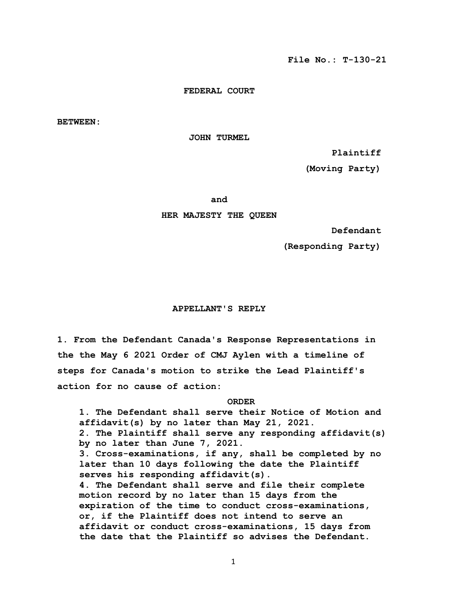#### **FEDERAL COURT**

**BETWEEN:**

 **JOHN TURMEL**

 **Plaintiff**

 **(Moving Party)**

**and and and** 

### **HER MAJESTY THE QUEEN**

 **Defendant**

 **(Responding Party)**

## **APPELLANT'S REPLY**

**1. From the Defendant Canada's Response Representations in the the May 6 2021 Order of CMJ Aylen with a timeline of steps for Canada's motion to strike the Lead Plaintiff's action for no cause of action:** 

# *ORDER* **ORDER**

 **1. The Defendant shall serve their Notice of Motion and affidavit(s) by no later than May 21, 2021. 2. The Plaintiff shall serve any responding affidavit(s) by no later than June 7, 2021. 3. Cross-examinations, if any, shall be completed by no later than 10 days following the date the Plaintiff serves his responding affidavit(s). 4. The Defendant shall serve and file their complete motion record by no later than 15 days from the expiration of the time to conduct cross-examinations, or, if the Plaintiff does not intend to serve an affidavit or conduct cross-examinations, 15 days from the date that the Plaintiff so advises the Defendant.**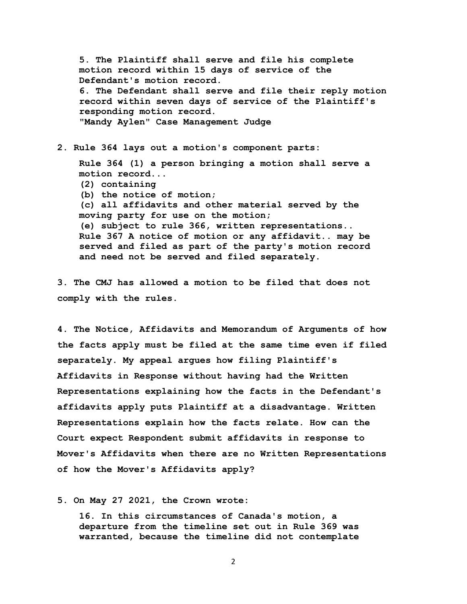**5. The Plaintiff shall serve and file his complete motion record within 15 days of service of the Defendant's motion record. 6. The Defendant shall serve and file their reply motion record within seven days of service of the Plaintiff's responding motion record. "Mandy Aylen" Case Management Judge**

**2. Rule 364 lays out a motion's component parts:** 

 **Rule 364 (1) a person bringing a motion shall serve a motion record... (2) containing (b) the notice of motion; (c) all affidavits and other material served by the moving party for use on the motion; (e) subject to rule 366, written representations.. Rule 367 A notice of motion or any affidavit.. may be served and filed as part of the party's motion record and need not be served and filed separately.**

**3. The CMJ has allowed a motion to be filed that does not comply with the rules.** 

**4. The Notice, Affidavits and Memorandum of Arguments of how the facts apply must be filed at the same time even if filed separately. My appeal argues how filing Plaintiff's Affidavits in Response without having had the Written Representations explaining how the facts in the Defendant's affidavits apply puts Plaintiff at a disadvantage. Written Representations explain how the facts relate. How can the Court expect Respondent submit affidavits in response to Mover's Affidavits when there are no Written Representations of how the Mover's Affidavits apply?** 

**5. On May 27 2021, the Crown wrote:** 

 **16. In this circumstances of Canada's motion, a departure from the timeline set out in Rule 369 was warranted, because the timeline did not contemplate**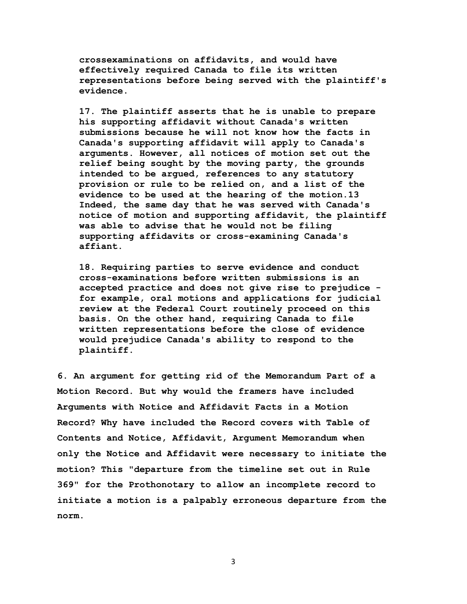**crossexaminations on affidavits, and would have effectively required Canada to file its written representations before being served with the plaintiff's evidence.**

 **17. The plaintiff asserts that he is unable to prepare his supporting affidavit without Canada's written submissions because he will not know how the facts in Canada's supporting affidavit will apply to Canada's arguments. However, all notices of motion set out the relief being sought by the moving party, the grounds intended to be argued, references to any statutory provision or rule to be relied on, and a list of the evidence to be used at the hearing of the motion.13 Indeed, the same day that he was served with Canada's notice of motion and supporting affidavit, the plaintiff was able to advise that he would not be filing supporting affidavits or cross-examining Canada's affiant.**

 **18. Requiring parties to serve evidence and conduct cross-examinations before written submissions is an accepted practice and does not give rise to prejudice for example, oral motions and applications for judicial review at the Federal Court routinely proceed on this basis. On the other hand, requiring Canada to file written representations before the close of evidence would prejudice Canada's ability to respond to the plaintiff.** 

**6. An argument for getting rid of the Memorandum Part of a Motion Record. But why would the framers have included Arguments with Notice and Affidavit Facts in a Motion Record? Why have included the Record covers with Table of Contents and Notice, Affidavit, Argument Memorandum when only the Notice and Affidavit were necessary to initiate the motion? This "departure from the timeline set out in Rule 369" for the Prothonotary to allow an incomplete record to initiate a motion is a palpably erroneous departure from the norm.**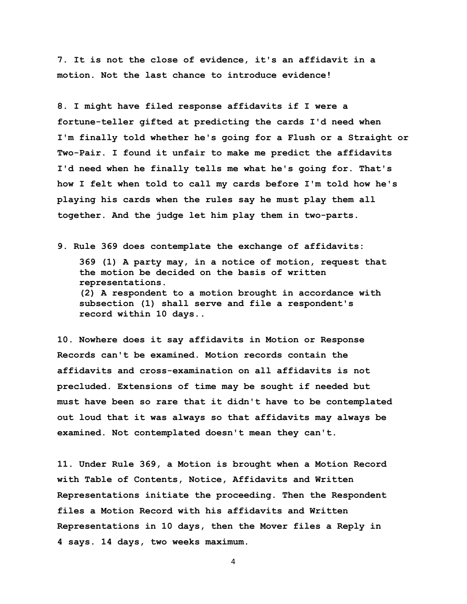**7. It is not the close of evidence, it's an affidavit in a motion. Not the last chance to introduce evidence!** 

**8. I might have filed response affidavits if I were a fortune-teller gifted at predicting the cards I'd need when I'm finally told whether he's going for a Flush or a Straight or Two-Pair. I found it unfair to make me predict the affidavits I'd need when he finally tells me what he's going for. That's how I felt when told to call my cards before I'm told how he's playing his cards when the rules say he must play them all together. And the judge let him play them in two-parts.** 

**9. Rule 369 does contemplate the exchange of affidavits:**

 **369 (1) A party may, in a notice of motion, request that the motion be decided on the basis of written representations. (2) A respondent to a motion brought in accordance with subsection (1) shall serve and file a respondent's record within 10 days..** 

**10. Nowhere does it say affidavits in Motion or Response Records can't be examined. Motion records contain the affidavits and cross-examination on all affidavits is not precluded. Extensions of time may be sought if needed but must have been so rare that it didn't have to be contemplated out loud that it was always so that affidavits may always be examined. Not contemplated doesn't mean they can't.** 

**11. Under Rule 369, a Motion is brought when a Motion Record with Table of Contents, Notice, Affidavits and Written Representations initiate the proceeding. Then the Respondent files a Motion Record with his affidavits and Written Representations in 10 days, then the Mover files a Reply in 4 says. 14 days, two weeks maximum.**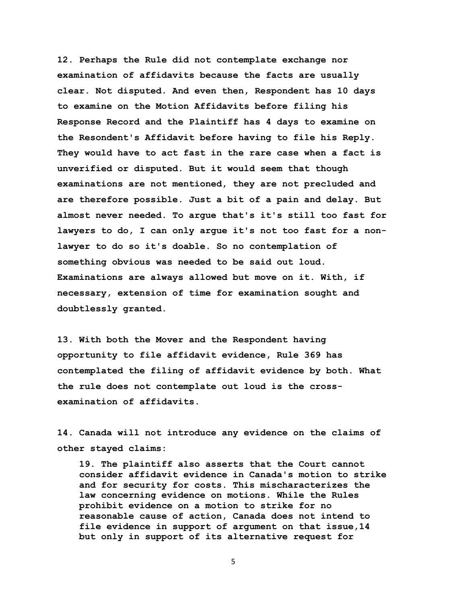**12. Perhaps the Rule did not contemplate exchange nor examination of affidavits because the facts are usually clear. Not disputed. And even then, Respondent has 10 days to examine on the Motion Affidavits before filing his Response Record and the Plaintiff has 4 days to examine on the Resondent's Affidavit before having to file his Reply. They would have to act fast in the rare case when a fact is unverified or disputed. But it would seem that though examinations are not mentioned, they are not precluded and are therefore possible. Just a bit of a pain and delay. But almost never needed. To argue that's it's still too fast for lawyers to do, I can only argue it's not too fast for a nonlawyer to do so it's doable. So no contemplation of something obvious was needed to be said out loud. Examinations are always allowed but move on it. With, if necessary, extension of time for examination sought and doubtlessly granted.** 

**13. With both the Mover and the Respondent having opportunity to file affidavit evidence, Rule 369 has contemplated the filing of affidavit evidence by both. What the rule does not contemplate out loud is the crossexamination of affidavits.** 

**14. Canada will not introduce any evidence on the claims of other stayed claims:**

 **19. The plaintiff also asserts that the Court cannot consider affidavit evidence in Canada's motion to strike and for security for costs. This mischaracterizes the law concerning evidence on motions. While the Rules prohibit evidence on a motion to strike for no reasonable cause of action, Canada does not intend to file evidence in support of argument on that issue,14 but only in support of its alternative request for**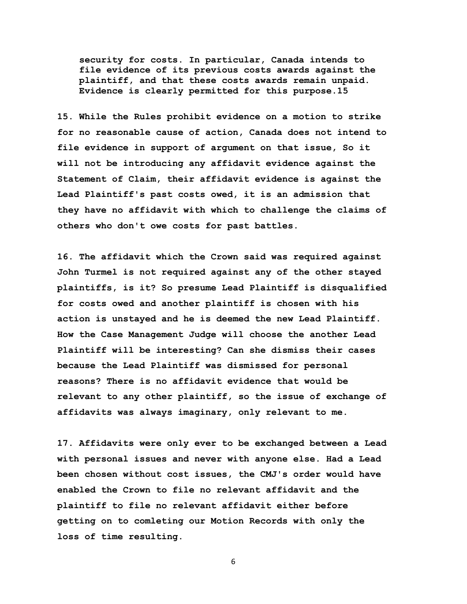**security for costs. In particular, Canada intends to file evidence of its previous costs awards against the plaintiff, and that these costs awards remain unpaid. Evidence is clearly permitted for this purpose.15**

**15. While the Rules prohibit evidence on a motion to strike for no reasonable cause of action, Canada does not intend to file evidence in support of argument on that issue, So it will not be introducing any affidavit evidence against the Statement of Claim, their affidavit evidence is against the Lead Plaintiff's past costs owed, it is an admission that they have no affidavit with which to challenge the claims of others who don't owe costs for past battles.** 

**16. The affidavit which the Crown said was required against John Turmel is not required against any of the other stayed plaintiffs, is it? So presume Lead Plaintiff is disqualified for costs owed and another plaintiff is chosen with his action is unstayed and he is deemed the new Lead Plaintiff. How the Case Management Judge will choose the another Lead Plaintiff will be interesting? Can she dismiss their cases because the Lead Plaintiff was dismissed for personal reasons? There is no affidavit evidence that would be relevant to any other plaintiff, so the issue of exchange of affidavits was always imaginary, only relevant to me.**

**17. Affidavits were only ever to be exchanged between a Lead with personal issues and never with anyone else. Had a Lead been chosen without cost issues, the CMJ's order would have enabled the Crown to file no relevant affidavit and the plaintiff to file no relevant affidavit either before getting on to comleting our Motion Records with only the loss of time resulting.**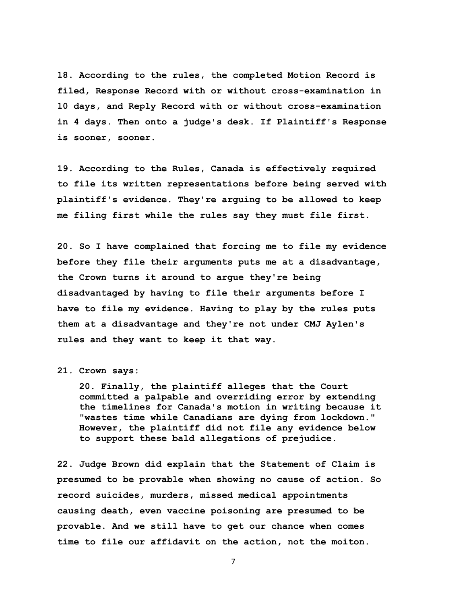**18. According to the rules, the completed Motion Record is filed, Response Record with or without cross-examination in 10 days, and Reply Record with or without cross-examination in 4 days. Then onto a judge's desk. If Plaintiff's Response is sooner, sooner.** 

**19. According to the Rules, Canada is effectively required to file its written representations before being served with plaintiff's evidence. They're arguing to be allowed to keep me filing first while the rules say they must file first.** 

**20. So I have complained that forcing me to file my evidence before they file their arguments puts me at a disadvantage, the Crown turns it around to argue they're being disadvantaged by having to file their arguments before I have to file my evidence. Having to play by the rules puts them at a disadvantage and they're not under CMJ Aylen's rules and they want to keep it that way.** 

## **21. Crown says:**

 **20. Finally, the plaintiff alleges that the Court committed a palpable and overriding error by extending the timelines for Canada's motion in writing because it "wastes time while Canadians are dying from lockdown." However, the plaintiff did not file any evidence below to support these bald allegations of prejudice.** 

**22. Judge Brown did explain that the Statement of Claim is presumed to be provable when showing no cause of action. So record suicides, murders, missed medical appointments causing death, even vaccine poisoning are presumed to be provable. And we still have to get our chance when comes time to file our affidavit on the action, not the moiton.**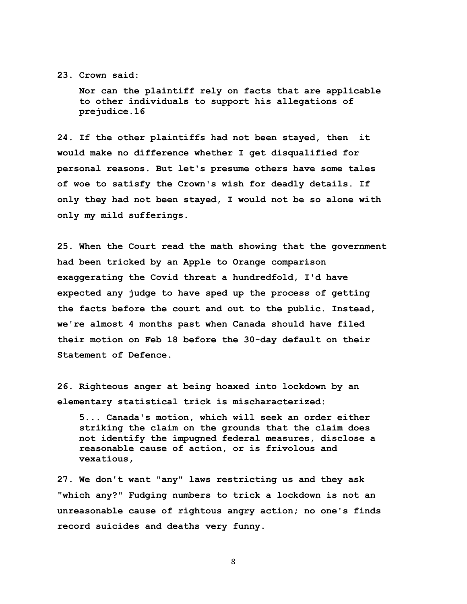## **23. Crown said:**

 **Nor can the plaintiff rely on facts that are applicable to other individuals to support his allegations of prejudice.16**

**24. If the other plaintiffs had not been stayed, then it would make no difference whether I get disqualified for personal reasons. But let's presume others have some tales of woe to satisfy the Crown's wish for deadly details. If only they had not been stayed, I would not be so alone with only my mild sufferings.** 

**25. When the Court read the math showing that the government had been tricked by an Apple to Orange comparison exaggerating the Covid threat a hundredfold, I'd have expected any judge to have sped up the process of getting the facts before the court and out to the public. Instead, we're almost 4 months past when Canada should have filed their motion on Feb 18 before the 30-day default on their Statement of Defence.** 

**26. Righteous anger at being hoaxed into lockdown by an elementary statistical trick is mischaracterized:** 

 **5... Canada's motion, which will seek an order either striking the claim on the grounds that the claim does not identify the impugned federal measures, disclose a reasonable cause of action, or is frivolous and vexatious,** 

**27. We don't want "any" laws restricting us and they ask "which any?" Fudging numbers to trick a lockdown is not an unreasonable cause of rightous angry action; no one's finds record suicides and deaths very funny.**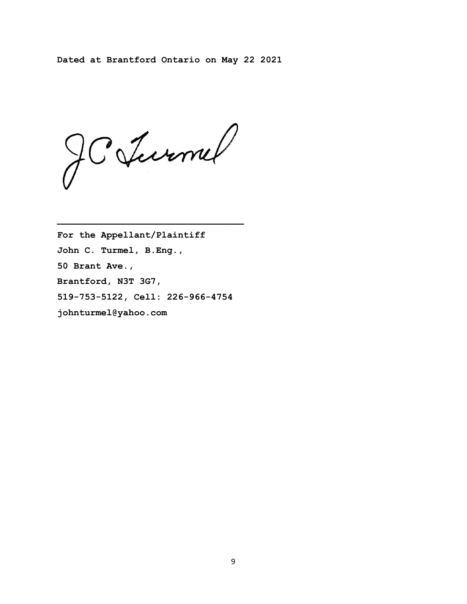**Dated at Brantford Ontario on May 22 2021** 

JCJurnel

**For the Appellant/Plaintiff John C. Turmel, B.Eng., 50 Brant Ave., Brantford, N3T 3G7, 519-753-5122, Cell: 226-966-4754 johnturmel@yahoo.com**